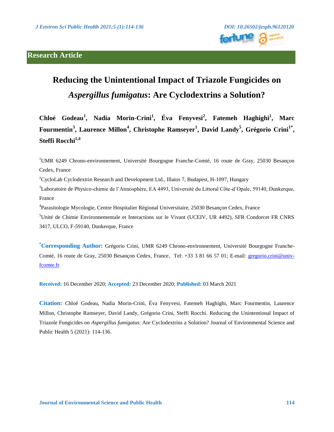

# **Reducing the Unintentional Impact of Triazole Fungicides on**  *Aspergillus fumigatus***: Are Cyclodextrins a Solution?**

**Chloé Godeau<sup>1</sup> , Nadia Morin-Crini<sup>1</sup> , Éva Fenyvesi<sup>2</sup> , Fatemeh Haghighi<sup>1</sup> , Marc Fourmentin<sup>3</sup> , Laurence Millon<sup>4</sup> , Christophe Ramseyer<sup>1</sup> , David Landy<sup>5</sup> , Grégorio Crini1\* , Steffi Rocchi1,4**

<sup>1</sup>UMR 6249 Chrono-environnement, Université Bourgogne Franche-Comté, 16 route de Gray, 25030 Besançon Cedex, France

<sup>2</sup>CycloLab Cyclodextrin Research and Development Ltd., Illatos 7, Budapest, H-1097, Hungary

<sup>3</sup>Laboratoire de Physico-chimie de l'Atmosphère, EA 4493, Université du Littoral Côte-d'Opale, 59140, Dunkerque, France

<sup>4</sup>Parasitologie Mycologie, Centre Hospitalier Régional Universitaire, 25030 Besançon Cedex, France

<sup>5</sup>Unité de Chimie Environnementale et Interactions sur le Vivant (UCEIV, UR 4492), SFR Condorcet FR CNRS 3417, ULCO, F-59140, Dunkerque, France

**\*Corresponding Author:** Grégorio Crini, UMR 6249 Chrono-environnement, Université Bourgogne Franche-Comté, 16 route de Gray, 25030 Besançon Cedex, France, Tel: +33 3 81 66 57 01; E-mail: [gregorio.crini@univ](mailto:gregorio.crini@univ-fcomte.fr)[fcomte.fr](mailto:gregorio.crini@univ-fcomte.fr)

**Received:** 16 December 2020; **Accepted:** 23 December 2020; **Published:** 03 March 2021

**Citation:** Chloé Godeau, Nadia Morin-Crini, Éva Fenyvesi, Fatemeh Haghighi, Marc Fourmentin, Laurence Millon, Christophe Ramseyer, David Landy, Grégorio Crini, Steffi Rocchi. Reducing the Unintentional Impact of Triazole Fungicides on *Aspergillus fumigatus*: Are Cyclodextrins a Solution? Journal of Environmental Science and Public Health 5 (2021): 114-136.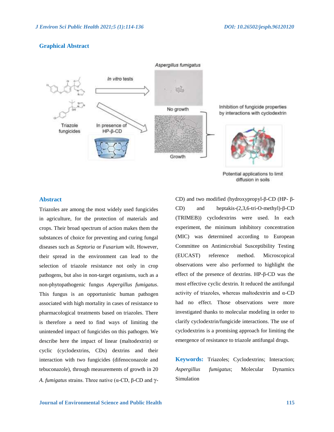### **Graphical Abstract**



Potential applications to limit diffusion in soils

#### **Abstract**

Triazoles are among the most widely used fungicides in agriculture, for the protection of materials and crops. Their broad spectrum of action makes them the substances of choice for preventing and curing fungal diseases such as *Septoria* or *Fusarium* wilt. However, their spread in the environment can lead to the selection of triazole resistance not only in crop pathogens, but also in non-target organisms, such as a non-phytopathogenic fungus *Aspergillus fumigatus*. This fungus is an opportunistic human pathogen associated with high mortality in cases of resistance to pharmacological treatments based on triazoles. There is therefore a need to find ways of limiting the unintended impact of fungicides on this pathogen. We describe here the impact of linear (maltodextrin) or cyclic (cyclodextrins, CDs) dextrins and their interaction with two fungicides (difenoconazole and tebuconazole), through measurements of growth in 20 *A. fumigatus strains. Three native (α-CD, β-CD and*  $γ$ *-* CD) and two modified (hydroxypropyl-β-CD (HP- β-CD) and heptakis-(2,3,6-tri-O-methyl)-β-CD (TRIMEB)) cyclodextrins were used. In each experiment, the minimum inhibitory concentration (MIC) was determined according to European Committee on Antimicrobial Susceptibility Testing (EUCAST) reference method. Microscopical observations were also performed to highlight the effect of the presence of dextrins. HP-β-CD was the most effective cyclic dextrin. It reduced the antifungal activity of triazoles, whereas maltodextrin and α-CD had no effect. Those observations were more investigated thanks to molecular modeling in order to clarify cyclodextrin/fungicide interactions. The use of cyclodextrins is a promising approach for limiting the emergence of resistance to triazole antifungal drugs.

**Keywords:** Triazoles; Cyclodextrins; Interaction; *Aspergillus fumigatus*; Molecular Dynamics Simulation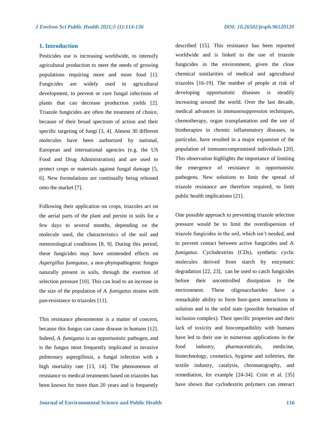#### **1. Introduction**

Pesticides use is increasing worldwide, to intensify agricultural production to meet the needs of growing populations requiring more and more food [1]. Fungicides are widely used in agricultural development, to prevent or cure fungal infections of plants that can decrease production yields [2]. Triazole fungicides are often the treatment of choice, because of their broad spectrum of action and their specific targeting of fungi [3, 4]. Almost 30 different molecules have been authorized by national, European and international agencies (e.g. the US Food and Drug Administration) and are used to protect crops or materials against fungal damage [5, 6]. New formulations are continually being released onto the market [7].

Following their application on crops, triazoles act on the aerial parts of the plant and persist in soils for a few days to several months, depending on the molecule used, the characteristics of the soil and meteorological conditions [8, 9]. During this period, these fungicides may have unintended effects on *Aspergillus fumigatus*, a non-phytopathogenic fungus naturally present in soils, through the exertion of selection pressure [10]. This can lead to an increase in the size of the population of *A. fumigatus* strains with pan-resistance to triazoles [11].

This resistance phenomenon is a matter of concern, because this fungus can cause disease in humans [12]. Indeed, *A. fumigatus* is an opportunistic pathogen, and is the fungus most frequently implicated in invasive pulmonary aspergillosis, a fungal infection with a high mortality rate [13, 14]. The phenomenon of resistance to medical treatments based on triazoles has been known for more than 20 years and is frequently described [15]. This resistance has been reported worldwide and is linked to the use of triazole fungicides in the environment, given the close chemical similarities of medical and agricultural triazoles [16-19]. The number of people at risk of developing opportunistic diseases is steadily increasing around the world. Over the last decade, medical advances in immunosuppression techniques, chemotherapy, organ transplantation and the use of biotherapies in chronic inflammatory diseases, in particular, have resulted in a major expansion of the population of immunocompromised individuals [20]. This observation highlights the importance of limiting the emergence of resistance in opportunistic pathogens. New solutions to limit the spread of triazole resistance are therefore required, to limit public health implications [21].

One possible approach to preventing triazole selection pressure would be to limit the overdispersion of triazole fungicides in the soil, which isn't needed, and to prevent contact between active fungicides and *A. fumigatus*. Cyclodextrins (CDs), synthetic cyclic molecules derived from starch by enzymatic degradation [22, 23], can be used to catch fungicides before their uncontrolled dissipation in the environment. These oligosaccharides have a remarkable ability to form host-guest interactions in solution and in the solid state (possible formation of inclusion complex). Their specific properties and their lack of toxicity and biocompatibility with humans have led to their use in numerous applications in the food industry, pharmaceuticals, medicine, biotechnology, cosmetics, hygiene and toiletries, the textile industry, catalysis, chromatography, and remediation, for example [24-34]. Crini et al. [35] have shown that cyclodextrin polymers can interact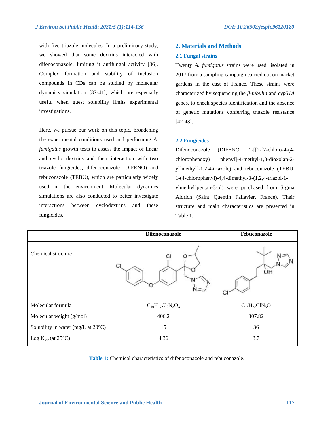with five triazole molecules. In a preliminary study, we showed that some dextrins interacted with difenoconazole, limiting it antifungal activity [36]. Complex formation and stability of inclusion compounds in CDs can be studied by molecular dynamics simulation [37-41], which are especially useful when guest solubility limits experimental investigations.

Here, we pursue our work on this topic, broadening the experimental conditions used and performing *A. fumigatus* growth tests to assess the impact of linear and cyclic dextrins and their interaction with two triazole fungicides, difenoconazole (DIFENO) and tebuconazole (TEBU), which are particularly widely used in the environment. Molecular dynamics simulations are also conducted to better investigate interactions between cyclodextrins and these fungicides.

#### **2. Materials and Methods**

#### **2.1 Fungal strains**

Twenty *A. fumigatus* strains were used, isolated in 2017 from a sampling campaign carried out on market gardens in the east of France. These strains were characterized by sequencing the *β-tubulin* and *cyp51A* genes, to check species identification and the absence of genetic mutations conferring triazole resistance [42-43].

#### **2.2 Fungicides**

Difenoconazole (DIFENO, 1-[[2-[2-chloro-4-(4 chlorophenoxy) phenyl]-4-methyl-1,3-dioxolan-2 yl]methyl]-1,2,4-triazole) and tebuconazole (TEBU, 1-(4-chlorophenyl)-4,4-dimethyl-3-(1,2,4-triazol-1 ylmethyl)pentan-3-ol) were purchased from Sigma Aldrich (Saint Quentin Fallavier, France). Their structure and main characteristics are presented in Table 1.

|                                    | <b>Difenoconazole</b>    | Tebuconazole         |
|------------------------------------|--------------------------|----------------------|
| Chemical structure                 |                          | OН                   |
| Molecular formula                  | $C_{19}H_{17}Cl_2N_3O_3$ | $C_{16}H_{22}C1N_3O$ |
| Molecular weight (g/mol)           | 406.2                    | 307.82               |
| Solubility in water (mg/L at 20°C) | 15                       | 36                   |
| Log $K_{ow}$ (at 25°C)             | 4.36                     | 3.7                  |

**Table 1:** Chemical characteristics of difenoconazole and tebuconazole.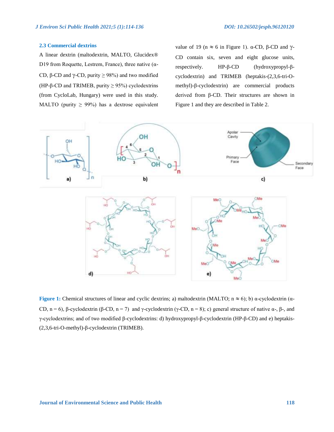#### **2.3 Commercial dextrins**

A linear dextrin (maltodextrin, MALTO, Glucidex® D19 from Roquette, Lestrem, France), three native ( $\alpha$ -CD, β-CD and  $\gamma$ -CD, purity  $\geq$  98%) and two modified (HP- $\beta$ -CD and TRIMEB, purity  $\geq$  95%) cyclodextrins (from CycloLab, Hungary) were used in this study. MALTO (purity  $\geq$  99%) has a dextrose equivalent value of 19 (n  $\approx$  6 in Figure 1). α-CD, β-CD and  $\gamma$ -CD contain six, seven and eight glucose units, respectively. HP-β-CD (hydroxypropyl-βcyclodextrin) and TRIMEB (heptakis-(2,3,6-tri-Omethyl)-β-cyclodextrin) are commercial products derived from β-CD. Their structures are shown in Figure 1 and they are described in Table 2.



**Figure 1:** Chemical structures of linear and cyclic dextrins; a) maltodextrin (MALTO;  $n \approx 6$ ); b) α-cyclodextrin (α-CD,  $n = 6$ ), β-cyclodextrin (β-CD,  $n = 7$ ) and γ-cyclodextrin (γ-CD,  $n = 8$ ); c) general structure of native α-, β-, and γ-cyclodextrins; and of two modified β-cyclodextrins: d) hydroxypropyl-β-cyclodextrin (HP-β-CD) and e) heptakis- (2,3,6-tri-O-methyl)-β-cyclodextrin (TRIMEB).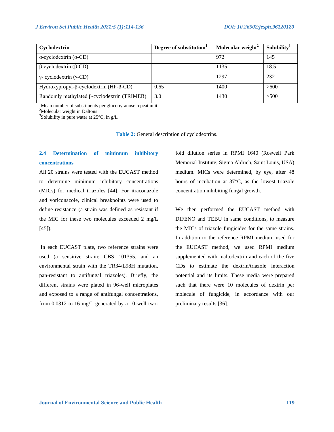| Cyclodextrin                                | Degree of substitution <sup>1</sup> | Molecular weight <sup>2</sup> | Solubility <sup>3</sup> |
|---------------------------------------------|-------------------------------------|-------------------------------|-------------------------|
| $\alpha$ -cyclodextrin ( $\alpha$ -CD)      |                                     | 972                           | 145                     |
| $\beta$ -cyclodextrin ( $\beta$ -CD)        |                                     | 1135                          | 18.5                    |
| $\gamma$ - cyclodextrin ( $\gamma$ -CD)     |                                     | 1297                          | 232                     |
| Hydroxypropyl-β-cyclodextrin (HP-β-CD)      | 0.65                                | 1400                          | >600                    |
| Randomly methylated β-cyclodextrin (TRIMEB) | 3.0                                 | 1430                          | >500                    |

<sup>1</sup>Mean number of substituents per glucopyranose repeat unit

 $2^2$ Molecular weight in Daltons

<sup>3</sup>Solubility in pure water at 25 $^{\circ}$ C, in g/L

**Table 2:** General description of cyclodextrins.

# **2.4 Determination of minimum inhibitory concentrations**

All 20 strains were tested with the EUCAST method to determine minimum inhibitory concentrations (MICs) for medical triazoles [44]. For itraconazole and voriconazole, clinical breakpoints were used to define resistance (a strain was defined as resistant if the MIC for these two molecules exceeded 2 mg/L [45]).

In each EUCAST plate, two reference strains were used (a sensitive strain: CBS 101355, and an environmental strain with the TR34/L98H mutation, pan-resistant to antifungal triazoles). Briefly, the different strains were plated in 96-well microplates and exposed to a range of antifungal concentrations, from 0.0312 to 16 mg/L generated by a 10-well twofold dilution series in RPMI 1640 (Roswell Park Memorial Institute; Sigma Aldrich, Saint Louis, USA) medium. MICs were determined, by eye, after 48 hours of incubation at 37°C, as the lowest triazole concentration inhibiting fungal growth.

We then performed the EUCAST method with DIFENO and TEBU in same conditions, to measure the MICs of triazole fungicides for the same strains. In addition to the reference RPMI medium used for the EUCAST method, we used RPMI medium supplemented with maltodextrin and each of the five CDs to estimate the dextrin/triazole interaction potential and its limits. These media were prepared such that there were 10 molecules of dextrin per molecule of fungicide, in accordance with our preliminary results [36].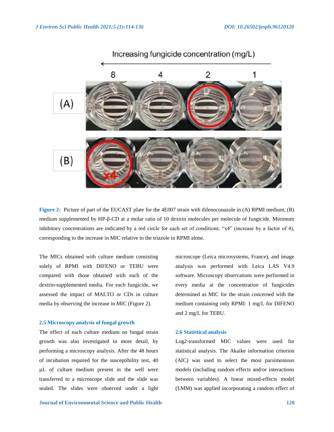

**Figure 2:** Picture of part of the EUCAST plate for the 4E007 strain with difenoconazole in (A) RPMI medium, (B) medium supplemented by HP-β-CD at a molar ratio of 10 dextrin molecules per molecule of fungicide. Minimum inhibitory concentrations are indicated by a red circle for each set of conditions: "x4" (increase by a factor of 4), corresponding to the increase in MIC relative to the triazole in RPMI alone.

The MICs obtained with culture medium consisting solely of RPMI with DIFENO or TEBU were compared with those obtained with each of the dextrin-supplemented media. For each fungicide, we assessed the impact of MALTO or CDs in culture media by observing the increase in MIC (Figure 2).

#### **2.5 Microscopy analysis of fungal growth**

The effect of each culture medium on fungal strain growth was also investigated in more detail, by performing a microscopy analysis. After the 48 hours of incubation required for the susceptibility test, 40 µL of culture medium present in the well were transferred to a microscope slide and the slide was sealed. The slides were observed under a light

**Journal of Environmental Science and Public Health 120**

microscope (Leica microsystems, France), and image analysis was performed with Leica LAS V4.9 software. Microscopy observations were performed in every media at the concentration of fungicides determined as MIC for the strain concerned with the medium containing only RPMI: 1 mg/L for DIFENO and 2 mg/L for TEBU.

#### **2.6 Statistical analysis**

Log2-transformed MIC values were used for statistical analysis. The Akaike information criterion (AIC) was used to select the most parsimonious models (including random effects and/or interactions between variables). A linear mixed-effects model (LMM) was applied incorporating a random effect of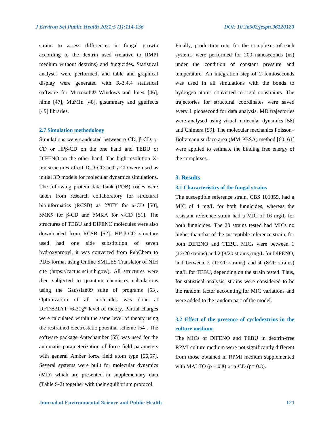strain, to assess differences in fungal growth according to the dextrin used (relative to RMPI medium without dextrins) and fungicides. Statistical analyses were performed, and table and graphical display were generated with R-3.4.4 statistical software for Microsoft® Windows and lme4 [46], nlme [47], MuMIn [48], gtsummary and ggeffects [49] libraries.

#### **2.7 Simulation methodology**

Simulations were conducted between α-CD, β-CD, γ-CD or HPβ-CD on the one hand and TEBU or DIFENO on the other hand. The high-resolution Xray structures of α-CD, β-CD and γ-CD were used as initial 3D models for molecular dynamics simulations. The following protein data bank (PDB) codes were taken from research collaboratory for structural bioinformatics (RCSB) as  $2XFY$  for  $\alpha$ -CD [50], 5MK9 for  $β$ -CD and 5MKA for  $γ$ -CD [51]. The structures of TEBU and DIFENO molecules were also downloaded from RCSB [52]. HP-β-CD structure used had one side substitution of seven hydroxypropyl, it was converted from PubChem to PDB format using Online SMILES Translator of NIH site (https://cactus.nci.nih.gov/). All structures were then subjected to quantum chemistry calculations using the Gaussian09 suite of programs [53]. Optimization of all molecules was done at DFT/B3LYP /6-31g\* level of theory. Partial charges were calculated within the same level of theory using the restrained electrostatic potential scheme [54]. The software package Antechamber [55] was used for the automatic parameterization of force field parameters with general Amber force field atom type [56,57]. Several systems were built for molecular dynamics (MD) which are presented in supplementary data (Table S-2) together with their equilibrium protocol.

Finally, production runs for the complexes of each systems were performed for 200 nanoseconds (ns) under the condition of constant pressure and temperature. An integration step of 2 femtoseconds was used in all simulations with the bonds to hydrogen atoms converted to rigid constraints. The trajectories for structural coordinates were saved every 1 picosecond for data analysis. MD trajectories were analysed using visual molecular dynamics [58] and Chimera [59]. The molecular mechanics Poisson– Boltzmann surface area (MM-PBSA) method [60, 61] were applied to estimate the binding free energy of the complexes.

#### **3. Results**

#### **3.1 Characteristics of the fungal strains**

The susceptible reference strain, CBS 101355, had a MIC of 4 mg/L for both fungicides, whereas the resistant reference strain had a MIC of 16 mg/L for both fungicides. The 20 strains tested had MICs no higher than that of the susceptible reference strain, for both DIFENO and TEBU. MICs were between 1 (12/20 strains) and 2 (8/20 strains) mg/L for DIFENO, and between 2 (12/20 strains) and 4 (8/20 strains) mg/L for TEBU, depending on the strain tested. Thus, for statistical analysis, strains were considered to be the random factor accounting for MIC variations and were added to the random part of the model.

# **3.2 Effect of the presence of cyclodextrins in the culture medium**

The MICs of DIFENO and TEBU in dextrin-free RPMI culture medium were not significantly different from those obtained in RPMI medium supplemented with MALTO ( $p = 0.8$ ) or  $\alpha$ -CD ( $p = 0.3$ ).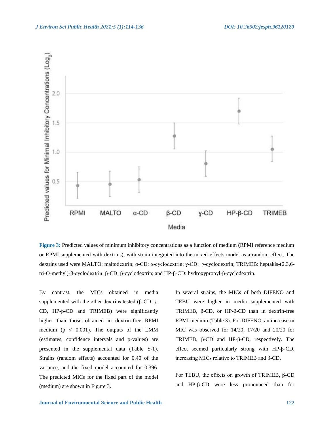

**Figure 3:** Predicted values of minimum inhibitory concentrations as a function of medium (RPMI reference medium or RPMI supplemented with dextrins), with strain integrated into the mixed-effects model as a random effect. The dextrins used were MALTO: maltodextrin; α-CD: α-cyclodextrin; γ-CD: γ-cyclodextrin; TRIMEB: heptakis-(2,3,6 tri-O-methyl)-β-cyclodextrin; β-CD: β-cyclodextrin; and HP-β-CD: hydroxypropyl-β-cyclodextrin.

By contrast, the MICs obtained in media supplemented with the other dextrins tested (β-CD,  $γ$ -CD, HP-β-CD and TRIMEB) were significantly higher than those obtained in dextrin-free RPMI medium ( $p < 0.001$ ). The outputs of the LMM (estimates, confidence intervals and p-values) are presented in the supplemental data (Table S-1). Strains (random effects) accounted for 0.40 of the variance, and the fixed model accounted for 0.396. The predicted MICs for the fixed part of the model (medium) are shown in Figure 3.

In several strains, the MICs of both DIFENO and TEBU were higher in media supplemented with TRIMEB, β-CD, or HP-β-CD than in dextrin-free RPMI medium (Table 3). For DIFENO, an increase in MIC was observed for 14/20, 17/20 and 20/20 for TRIMEB, β-CD and HP-β-CD, respectively. The effect seemed particularly strong with HP-β-CD, increasing MICs relative to TRIMEB and β-CD.

For TEBU, the effects on growth of TRIMEB, β-CD and HP-β-CD were less pronounced than for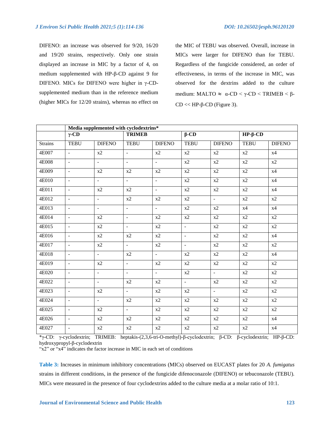DIFENO: an increase was observed for 9/20, 16/20 and 19/20 strains, respectively. Only one strain displayed an increase in MIC by a factor of 4, on medium supplemented with HP-β-CD against 9 for DIFENO. MICs for DIFENO were higher in γ-CDsupplemented medium than in the reference medium (higher MICs for 12/20 strains), whereas no effect on the MIC of TEBU was observed. Overall, increase in MICs were larger for DIFENO than for TEBU. Regardless of the fungicide considered, an order of effectiveness, in terms of the increase in MIC, was observed for the dextrins added to the culture medium: MALTO  $\approx \alpha$ -CD < γ-CD < TRIMEB < β-CD << HP-β-CD (Figure 3).

|                |                          | Media supplemented with cyclodextrins* |                             |                |                          |                  |                 |                    |  |
|----------------|--------------------------|----------------------------------------|-----------------------------|----------------|--------------------------|------------------|-----------------|--------------------|--|
|                | $\gamma$ -CD             |                                        |                             | <b>TRIMEB</b>  |                          | $\beta$ -CD      |                 | $HP$ - $\beta$ -CD |  |
| <b>Strains</b> | <b>TEBU</b>              | <b>DIFENO</b>                          | <b>TEBU</b>                 | <b>DIFENO</b>  | <b>TEBU</b>              | <b>DIFENO</b>    | <b>TEBU</b>     | <b>DIFENO</b>      |  |
| 4E007          | $\overline{a}$           | x2                                     | $\mathbb{L}^{\mathbb{N}}$   | x2             | x2                       | x2               | x2              | x4                 |  |
| 4E008          | $\mathbb{L}$             | $\omega_{\rm c}$                       | $\blacksquare$              | $\equiv$       | x2                       | x2               | $\overline{x2}$ | $\overline{x2}$    |  |
| 4E009          | $\sim$                   | x2                                     | x2                          | x2             | x2                       | x2               | x2              | x4                 |  |
| 4E010          | $\equiv$                 | $\omega_{\rm c}$                       | $\mathbb{E}^{\mathbb{P}}$   | $\Box$         | x2                       | x2               | x2              | x4                 |  |
| 4E011          | $\overline{a}$           | x2                                     | x2                          | $\blacksquare$ | $x^2$                    | $\overline{x2}$  | $\overline{x2}$ | x4                 |  |
| 4E012          | $\overline{a}$           | $\mathcal{L}_{\mathcal{A}}$            | $\ge 2$                     | x2             | x2                       | $\blacksquare$   | x2              | x2                 |  |
| 4E013          | $\overline{\phantom{a}}$ | $\equiv$                               | $\omega$                    | $\Box$         | x2                       | x2               | x4              | x4                 |  |
| 4E014          | $\Box$                   | x2                                     | $\omega$                    | x2             | x2                       | x2               | x2              | x2                 |  |
| 4E015          | $\overline{\phantom{a}}$ | $\ge 2$                                | $\overline{\phantom{a}}$    | x2             | $\mathcal{L}$            | x2               | x2              | x2                 |  |
| 4E016          | $\equiv$                 | x2                                     | x2                          | x2             | $\mathbb{L}^2$           | $\mathbf{x}2$    | x2              | x4                 |  |
| 4E017          | $\overline{\phantom{a}}$ | x2                                     | $\mathcal{L}_{\mathcal{A}}$ | x2             | $\overline{\phantom{a}}$ | $\overline{x2}$  | $\overline{x2}$ | x2                 |  |
| 4E018          | $\equiv$                 | $\omega_{\rm c}$                       | x2                          | $\Box$         | x2                       | x2               | x2              | x4                 |  |
| 4E019          | $\overline{\phantom{a}}$ | x2                                     | $\equiv$                    | x2             | x2                       | x2               | $\overline{x2}$ | $\overline{x2}$    |  |
| 4E020          | $\overline{\phantom{a}}$ | $\omega_{\rm c}$                       | $\Box$                      | $\equiv$       | x2                       | $\equiv$         | $\overline{x2}$ | x2                 |  |
| 4E022          | $\mathbb{L}$             | $\sim$                                 | x2                          | x2             | $\sim$                   | x2               | $\mathbf{x}2$   | x2                 |  |
| 4E023          | $\overline{\phantom{a}}$ | x2                                     | $\overline{\phantom{0}}$    | x2             | $\overline{x2}$          | $\omega_{\rm c}$ | x2              | $\overline{x2}$    |  |
| 4E024          | $\overline{\phantom{a}}$ | $\omega_{\rm c}$                       | x2                          | x2             | x2                       | $\mathbf{x}2$    | x2              | x2                 |  |
| 4E025          | $\blacksquare$           | x2                                     | $\overline{\phantom{0}}$    | x2             | x2                       | x2               | $\overline{x2}$ | x2                 |  |
| 4E026          | $\omega$                 | x2                                     | x2                          | x2             | x2                       | $\overline{x2}$  | x2              | x4                 |  |
| 4E027          | $\frac{1}{2}$            | x2                                     | x2                          | x2             | x2                       | $\overline{x2}$  | x2              | x4                 |  |

\*γ-CD: γ-cyclodextrin; TRIMEB: heptakis-(2,3,6-tri-O-methyl)-β-cyclodextrin; β-CD: β-cyclodextrin; HP-β-CD: hydroxypropyl-β-cyclodextrin

"x2" or "x4" indicates the factor increase in MIC in each set of conditions

**Table 3:** Increases in minimum inhibitory concentrations (MICs) observed on EUCAST plates for 20 *A. fumigatus*  strains in different conditions, in the presence of the fungicide difenoconazole (DIFENO) or tebuconazole (TEBU). MICs were measured in the presence of four cyclodextrins added to the culture media at a molar ratio of 10:1.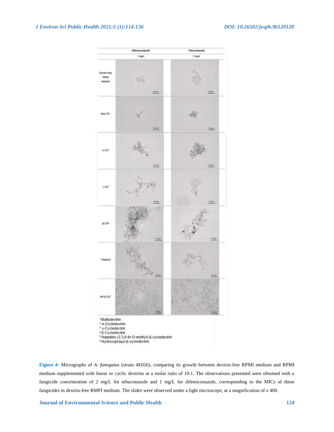

**Figure 4:** Micrographs of *A. fumigatus* (strain 4E026), comparing its growth between dextrin-free RPMI medium and RPMI medium supplemented with linear or cyclic dextrins at a molar ratio of 10:1. The observations presented were obtained with a fungicide concentration of 2 mg/L for tebuconazole and 1 mg/L for difenoconazole, corresponding to the MICs of these fungicides in dextrin-free RMPI medium. The slides were observed under a light microscope, at a magnification of x 400.

**Journal of Environmental Science and Public Health 124**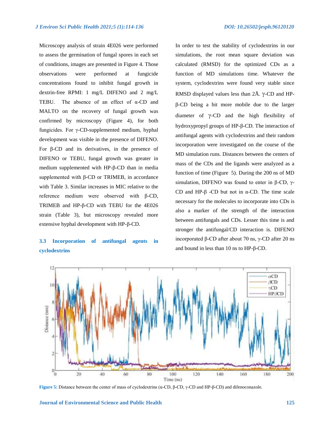Microscopy analysis of strain 4E026 were performed to assess the germination of fungal spores in each set of conditions, images are presented in Figure 4. Those observations were performed at fungicide concentrations found to inhibit fungal growth in dextrin-free RPMI: 1 mg/L DIFENO and 2 mg/L TEBU. The absence of an effect of α-CD and MALTO on the recovery of fungal growth was confirmed by microscopy (Figure 4), for both fungicides. For γ-CD-supplemented medium, hyphal development was visible in the presence of DIFENO. For β-CD and its derivatives, in the presence of DIFENO or TEBU, fungal growth was greater in medium supplemented with HP-β-CD than in media supplemented with β-CD or TRIMEB, in accordance with Table 3. Similar increases in MIC relative to the reference medium were observed with β-CD, TRIMEB and HP-β-CD with TEBU for the 4E026 strain (Table 3), but microscopy revealed more extensive hyphal development with HP-β-CD.

# **3.3 Incorporation of antifungal agents in cyclodextrins**

In order to test the stability of cyclodextrins in our simulations, the root mean square deviation was calculated (RMSD) for the optimized CDs as a function of MD simulations time. Whatever the system, cyclodextrins were found very stable since RMSD displayed values less than  $2\text{\AA}$ .  $\gamma$ -CD and HPβ-CD being a bit more mobile due to the larger diameter of  $\gamma$ -CD and the high flexibility of hydroxypropyl groups of HP-β-CD. The interaction of antifungal agents with cyclodextrins and their random incorporation were investigated on the course of the MD simulation runs. Distances between the centers of mass of the CDs and the ligands were analyzed as a function of time (Figure 5). During the 200 ns of MD simulation, DIFENO was found to enter in β-CD,  $γ$ -CD and HP-β -CD but not in α-CD. The time scale necessary for the molecules to incorporate into CDs is also a marker of the strength of the interaction between antifungals and CDs. Lesser this time is and stronger the antifungal/CD interaction is. DIFENO incorporated β-CD after about 70 ns, γ-CD after 20 ns and bound in less than 10 ns to HP-β-CD.



**Figure 5:** Distance between the center of mass of cyclodextrins (α-CD, β-CD, γ-CD and HP-β-CD) and difenoconazole.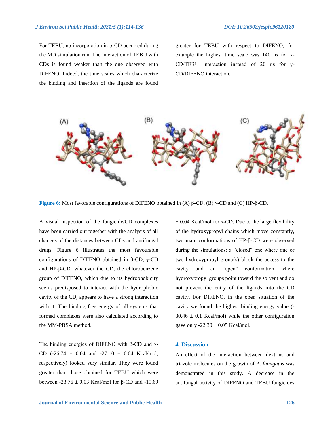For TEBU, no incorporation in α-CD occurred during the MD simulation run. The interaction of TEBU with CDs is found weaker than the one observed with DIFENO. Indeed, the time scales which characterize the binding and insertion of the ligands are found

greater for TEBU with respect to DIFENO, for example the highest time scale was 140 ns for  $\gamma$ -CD/TEBU interaction instead of 20 ns for γ-CD/DIFENO interaction.



**Figure 6:** Most favorable configurations of DIFENO obtained in (A) β-CD, (B) γ-CD and (C) HP-β-CD.

A visual inspection of the fungicide/CD complexes have been carried out together with the analysis of all changes of the distances between CDs and antifungal drugs. Figure 6 illustrates the most favourable configurations of DIFENO obtained in β-CD, γ-CD and HP-β-CD: whatever the CD, the chlorobenzene group of DIFENO, which due to its hydrophobicity seems predisposed to interact with the hydrophobic cavity of the CD, appears to have a strong interaction with it. The binding free energy of all systems that formed complexes were also calculated according to the MM-PBSA method.

The binding energies of DIFENO with β-CD and γ-CD (-26.74  $\pm$  0.04 and -27.10  $\pm$  0.04 Kcal/mol, respectively) looked very similar. They were found greater than those obtained for TEBU which were between  $-23,76 \pm 0,03$  Kcal/mol for β-CD and -19.69

 $±$  0.04 Kcal/mol for γ-CD. Due to the large flexibility of the hydroxypropyl chains which move constantly, two main conformations of HP-β-CD were observed during the simulations: a "closed" one where one or two hydroxypropyl group(s) block the access to the cavity and an "open" conformation where hydroxypropyl groups point toward the solvent and do not prevent the entry of the ligands into the CD cavity. For DIFENO, in the open situation of the cavity we found the highest binding energy value (-  $30.46 \pm 0.1$  Kcal/mol) while the other configuration gave only  $-22.30 \pm 0.05$  Kcal/mol.

#### **4. Discussion**

An effect of the interaction between dextrins and triazole molecules on the growth of *A. fumigatus* was demonstrated in this study. A decrease in the antifungal activity of DIFENO and TEBU fungicides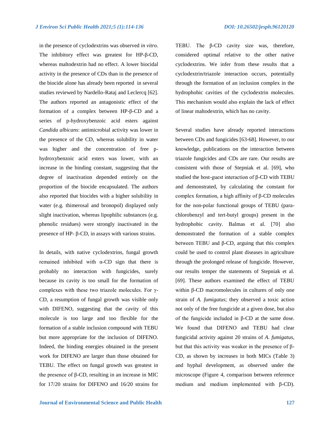in the presence of cyclodextrins was observed *in vitro*. The inhibitory effect was greatest for HP-β-CD, whereas maltodextrin had no effect. A lower biocidal activity in the presence of CDs than in the presence of the biocide alone has already been reported in several studies reviewed by Nardello-Rataj and Leclercq [62]. The authors reported an antagonistic effect of the formation of a complex between HP-β-CD and a series of p-hydroxybenzoic acid esters against *Candida albicans*: antimicrobial activity was lower in the presence of the CD, whereas solubility in water was higher and the concentration of free phydroxybenzoic acid esters was lower, with an increase in the binding constant, suggesting that the degree of inactivation depended entirely on the proportion of the biocide encapsulated. The authors also reported that biocides with a higher solubility in water (e.g. thimerosal and bronopol) displayed only slight inactivation, whereas lipophilic substances (e.g. phenolic residues) were strongly inactivated in the presence of HP- β-CD, in assays with various strains.

In details, with native cyclodextrins, fungal growth remained inhibited with α-CD sign that there is probably no interaction with fungicides, surely because its cavity is too small for the formation of complexes with these two triazole molecules. For γ-CD, a resumption of fungal growth was visible only with DIFENO, suggesting that the cavity of this molecule is too large and too flexible for the formation of a stable inclusion compound with TEBU but more appropriate for the inclusion of DIFENO. Indeed, the binding energies obtained in the present work for DIFENO are larger than those obtained for TEBU. The effect on fungal growth was greatest in the presence of β-CD, resulting in an increase in MIC for 17/20 strains for DIFENO and 16/20 strains for TEBU. The β-CD cavity size was, therefore, considered optimal relative to the other native cyclodextrins. We infer from these results that a cyclodextrin/triazole interaction occurs, potentially through the formation of an inclusion complex in the hydrophobic cavities of the cyclodextrin molecules. This mechanism would also explain the lack of effect of linear maltodextrin, which has no cavity.

Several studies have already reported interactions between CDs and fungicides [63-68]. However, to our knowledge, publications on the interaction between triazole fungicides and CDs are rare. Our results are consistent with those of Stepniak et al. [69], who studied the host-guest interaction of β-CD with TEBU and demonstrated, by calculating the constant for complex formation, a high affinity of β-CD molecules for the non-polar functional groups of TEBU (parachlorobenzyl and tert-butyl groups) present in the hydrophobic cavity. Balmas et al. [70] also demonstrated the formation of a stable complex between TEBU and β-CD, arguing that this complex could be used to control plant diseases in agriculture through the prolonged release of fungicide. However, our results temper the statements of Stepniak et al. [69]. These authors examined the effect of TEBU within β-CD macromolecules in cultures of only one strain of *A. fumigatus*; they observed a toxic action not only of the free fungicide at a given dose, but also of the fungicide included in β-CD at the same dose. We found that DIFENO and TEBU had clear fungicidal activity against 20 strains of *A. fumigatus*, but that this activity was weaker in the presence of β-CD, as shown by increases in both MICs (Table 3) and hyphal development, as observed under the microscope (Figure 4, comparison between reference medium and medium implemented with β-CD).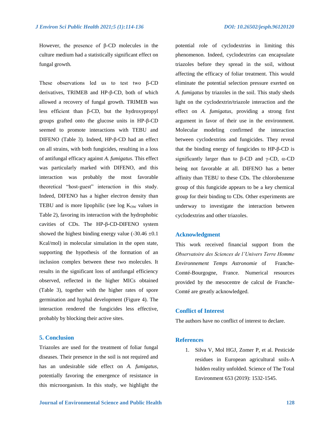However, the presence of β-CD molecules in the culture medium had a statistically significant effect on fungal growth.

These observations led us to test two β-CD derivatives, TRIMEB and HP-β-CD, both of which allowed a recovery of fungal growth. TRIMEB was less efficient than β-CD, but the hydroxypropyl groups grafted onto the glucose units in HP-β-CD seemed to promote interactions with TEBU and DIFENO (Table 3). Indeed, HP-β-CD had an effect on all strains, with both fungicides, resulting in a loss of antifungal efficacy against *A. fumigatus*. This effect was particularly marked with DIFENO, and this interaction was probably the most favorable theoretical "host-guest" interaction in this study. Indeed, DIFENO has a higher electron density than TEBU and is more lipophilic (see log  $K<sub>OW</sub>$  values in Table 2), favoring its interaction with the hydrophobic cavities of CDs. The HP-β-CD-DIFENO system showed the highest binding energy value  $(-30.46 \pm 0.1)$ Kcal/mol) in molecular simulation in the open state, supporting the hypothesis of the formation of an inclusion complex between these two molecules. It results in the significant loss of antifungal efficiency observed, reflected in the higher MICs obtained (Table 3), together with the higher rates of spore germination and hyphal development (Figure 4). The interaction rendered the fungicides less effective, probably by blocking their active sites.

#### **5. Conclusion**

Triazoles are used for the treatment of foliar fungal diseases. Their presence in the soil is not required and has an undesirable side effect on *A. fumigatus*, potentially favoring the emergence of resistance in this microorganism. In this study, we highlight the potential role of cyclodextrins in limiting this phenomenon. Indeed, cyclodextrins can encapsulate triazoles before they spread in the soil, without affecting the efficacy of foliar treatment. This would eliminate the potential selection pressure exerted on *A. fumigatus* by triazoles in the soil. This study sheds light on the cyclodextrin/triazole interaction and the effect on *A. fumigatus*, providing a strong first argument in favor of their use in the environment. Molecular modeling confirmed the interaction between cyclodextrins and fungicides. They reveal that the binding energy of fungicides to HP-β-CD is significantly larger than to  $\beta$ -CD and  $\gamma$ -CD,  $\alpha$ -CD being not favorable at all. DIFENO has a better affinity than TEBU to these CDs. The chlorobenzene group of this fungicide appears to be a key chemical group for their binding to CDs. Other experiments are underway to investigate the interaction between cyclodextrins and other triazoles.

#### **Acknowledgment**

This work received financial support from the *Observatoire des Sciences de l'Univers Terre Homme Environnement Temps Astronomie* of Franche-Comté-Bourgogne, France. Numerical resources provided by the mesocentre de calcul de Franche-Comté are greatly acknowledged.

#### **Conflict of Interest**

The authors have no conflict of interest to declare.

#### **References**

1. Silva V, Mol HGJ, Zomer P, et al. Pesticide residues in European agricultural soils-A hidden reality unfolded. Science of The Total Environment 653 (2019): 1532-1545.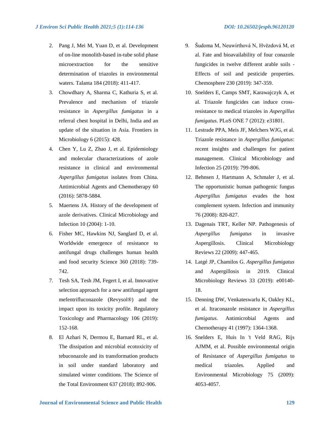- 2. Pang J, Mei M, Yuan D, et al. Development of on-line monolith-based in-tube solid phase microextraction for the sensitive determination of triazoles in environmental waters. Talanta 184 (2018): 411-417.
- 3. Chowdhary A, Sharma C, Kathuria S, et al. Prevalence and mechanism of triazole resistance in *Aspergillus fumigatus* in a referral chest hospital in Delhi, India and an update of the situation in Asia. Frontiers in Microbiology 6 (2015): 428.
- 4. Chen Y, Lu Z, Zhao J, et al. Epidemiology and molecular characterizations of azole resistance in clinical and environmental *Aspergillus fumigatus* isolates from China. Antimicrobial Agents and Chemotherapy 60 (2016): 5878-5884.
- 5. Maertens JA. History of the development of azole derivatives. Clinical Microbiology and Infection 10 (2004): 1-10.
- 6. Fisher MC, Hawkins NJ, Sanglard D, et al. Worldwide emergence of resistance to antifungal drugs challenges human health and food security Science 360 (2018): 739- 742.
- 7. Tesh SA, Tesh JM, Fegert I, et al. Innovative selection approach for a new antifungal agent mefentrifluconazole (Revysol®) and the impact upon its toxicity profile. Regulatory Toxicology and Pharmacology 106 (2019): 152-168.
- 8. El Azhari N, Dermou E, Barnard RL, et al. The dissipation and microbial ecotoxicity of tebuconazole and its transformation products in soil under standard laboratory and simulated winter conditions. The Science of the Total Environment 637 (2018): 892-906.
- 9. Šudoma M, Neuwirthová N, Hvězdová M, et al. Fate and bioavailability of four conazole fungicides in twelve different arable soils - Effects of soil and pesticide properties. Chemosphere 230 (2019): 347-359.
- 10. Snelders E, Camps SMT, Karawajczyk A, et al. Triazole fungicides can induce crossresistance to medical triazoles in *Aspergillus fumigatus*. PLoS ONE 7 (2012): e31801.
- 11. Lestrade PPA, Meis JF, Melchers WJG, et al. Triazole resistance in *Aspergillus fumigatus*: recent insights and challenges for patient management. Clinical Microbiology and Infection 25 (2019): 799-806.
- 12. Behnsen J, Hartmann A, Schmaler J, et al. The opportunistic human pathogenic fungus *Aspergillus fumigatus* evades the host complement system. Infection and immunity 76 (2008): 820-827.
- 13. Dagenais TRT, Keller NP. Pathogenesis of *Aspergillus fumigatus* in invasive Aspergillosis. Clinical Microbiology Reviews 22 (2009): 447-465.
- 14. Latgé JP, Chamilos G. *Aspergillus fumigatus* and Aspergillosis in 2019. Clinical Microbiology Reviews 33 (2019): e00140- 18.
- 15. Denning DW, Venkateswarlu K, Oakley KL, et al. Itraconazole resistance in *Aspergillus fumigatus*. Antimicrobial Agents and Chemotherapy 41 (1997): 1364-1368.
- 16. Snelders E, Huis In 't Veld RAG, Rijs AJMM, et al. Possible environmental origin of Resistance of *Aspergillus fumigatus* to medical triazoles. Applied and Environmental Microbiology 75 (2009): 4053-4057.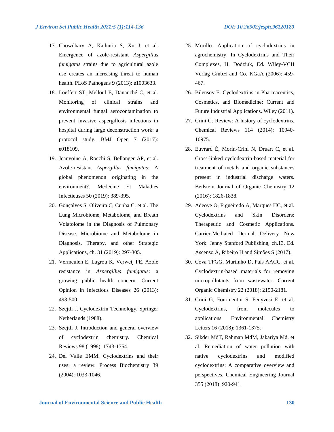- 17. Chowdhary A, Kathuria S, Xu J, et al. Emergence of azole-resistant *Aspergillus fumigatus* strains due to agricultural azole use creates an increasing threat to human health. PLoS Pathogens 9 (2013): e1003633.
- 18. Loeffert ST, Melloul E, Dananché C, et al. Monitoring of clinical strains and environmental fungal aerocontamination to prevent invasive aspergillosis infections in hospital during large deconstruction work: a protocol study. BMJ Open 7 (2017): e018109.
- 19. Jeanvoine A, Rocchi S, Bellanger AP, et al. Azole-resistant *Aspergillus fumigatus*: A global phenomenon originating in the environment?. Medecine Et Maladies Infectieuses 50 (2019): 389-395.
- 20. Gonçalves S, Oliveira C, Cunha C, et al. The Lung Microbiome, Metabolome, and Breath Volatolome in the Diagnosis of Pulmonary Disease. Microbiome and Metabolome in Diagnosis, Therapy, and other Strategic Applications, ch. 31 (2019): 297-305.
- 21. Vermeulen E, Lagrou K, Verweij PE. Azole resistance in *Aspergillus fumigatus*: a growing public health concern. Current Opinion in Infectious Diseases 26 (2013): 493-500.
- 22. Szejtli J. Cyclodextrin Technology. Springer Netherlands (1988).
- 23. Szejtli J. Introduction and general overview of cyclodextrin chemistry. Chemical Reviews 98 (1998): 1743-1754.
- 24. Del Valle EMM. Cyclodextrins and their uses: a review. Process Biochemistry 39 (2004): 1033-1046.
- 25. Morillo. Application of cyclodextrins in agrochemistry. In Cyclodextrins and Their Complexes, H. Dodziuk, Ed. Wiley-VCH Verlag GmbH and Co. KGaA (2006): 459- 467.
- 26. Bilensoy E. Cyclodextrins in Pharmaceutics, Cosmetics, and Biomedicine: Current and Future Industrial Applications. Wiley (2011).
- 27. Crini G. Review: A history of cyclodextrins. Chemical Reviews 114 (2014): 10940- 10975.
- 28. Euvrard É, Morin-Crini N, Druart C, et al. Cross-linked cyclodextrin-based material for treatment of metals and organic substances present in industrial discharge waters. Beilstein Journal of Organic Chemistry 12 (2016): 1826-1838.
- 29. Adeoye O, Figueiredo A, Marques HC, et al. Cyclodextrins and Skin Disorders: Therapeutic and Cosmetic Applications. Carrier-Mediated Dermal Delivery New York: Jenny Stanford Publishing, ch.13, Ed. Ascenso A, Ribeiro H and Simões S (2017).
- 30. Cova TFGG, Murtinho D, Pais AACC, et al. Cyclodextrin-based materials for removing micropollutants from wastewater. Current Organic Chemistry 22 (2018): 2150-2181.
- 31. Crini G, Fourmentin S, Fenyvesi É, et al. Cyclodextrins, from molecules to applications. Environmental Chemistry Letters 16 (2018): 1361-1375.
- 32. Sikder MdT, Rahman MdM, Jakariya Md, et al. Remediation of water pollution with native cyclodextrins and modified cyclodextrins: A comparative overview and perspectives. Chemical Engineering Journal 355 (2018): 920-941.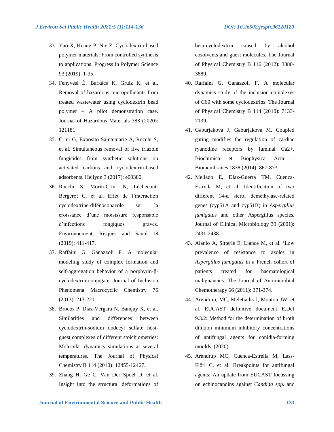- 33. Yao X, Huang P, Nie Z. Cyclodextrin-based polymer materials: From controlled synthesis to applications. Progress in Polymer Science 93 (2019): 1-35.
- 34. Fenyvesi É, Barkács K, Gruiz K, et al. Removal of hazardous micropollutants from treated wastewater using cyclodextrin bead polymer – A pilot demonstration case. Journal of Hazardous Materials 383 (2020): 121181.
- 35. Crini G, Exposito Saintemarie A, Rocchi S, et al. Simultaneous removal of five triazole fungicides from synthetic solutions on activated carbons and cyclodextrin-based adsorbents. Heliyon 3 (2017): e00380.
- 36. Rocchi S, Morin-Crini N, Léchenaut-Bergerot C, et al. Effet de l'interaction cyclodextrine-difénoconazole sur la croissance d'une moisissure responsable d'infections fongiques graves. Environnement, Risques and Santé 18 (2019): 411-417.
- 37. Raffaini G, Ganazzoli F. A molecular modeling study of complex formation and self-aggregation behavior of a porphyrin-βcyclodextrin conjugate. Journal of Inclusion Phenomena Macrocyclic Chemistry 76 (2013): 213-221.
- 38. Brocos P, Díaz-Vergara N, Banquy X, et al. Similarities and differences between cyclodextrin-sodium dodecyl sulfate hostguest complexes of different stoichiometries: Molecular dynamics simulations at several temperatures. The Journal of Physical Chemistry B 114 (2010): 12455-12467.
- 39. Zhang H, Ge C, Van Der Spoel D, et al. Insight into the structural deformations of

beta-cyclodextrin caused by alcohol cosolvents and guest molecules. The Journal of Physical Chemistry B 116 (2012): 3880- 3889.

- 40. Raffaini G, Ganazzoli F. A molecular dynamics study of the inclusion complexes of C60 with some cyclodextrins. The Journal of Physical Chemistry B 114 (2010): 7133- 7139.
- 41. Gaburjakova J, Gaburjakova M. Coupled gating modifies the regulation of cardiac ryanodine receptors by luminal Ca2+. Biochimica et Biophysica Acta Biomembranes 1838 (2014): 867-873.
- 42. Mellado E, Diaz-Guerra TM, Cuenca-Estrella M, et al. Identification of two different 14-α sterol demethylase-related genes (cyp51A and cyp51B) in *Aspergillus fumigatus* and other Aspergillus species. Journal of Clinical Microbiology 39 (2001): 2431-2438.
- 43. Alanio A, Sitterlé E, Liance M, et al. 'Low prevalence of resistance to azoles in *Aspergillus fumigatus* in a French cohort of patients treated for haematological malignancies. The Journal of Antimicrobial Chemotherapy 66 (2011): 371-374.
- 44. Arendrup, MC, Meletiadis J, Mouton JW, et al. EUCAST definitive document E.Def 9.3.2: Method for the determination of broth dilution minimum inhibitory concentrations of antifungal agents for conidia-forming moulds. (2020).
- 45. Arendrup MC, Cuenca-Estrella M, Lass-Flörl C, et al. Breakpoints for antifungal agents: An update from EUCAST focussing on echinocandins against *Candida spp.* and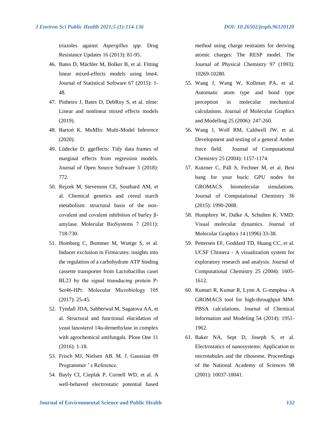triazoles against *Aspergillus spp.* Drug Resistance Updates 16 (2013): 81-95.

- 46. Bates D, Mächler M, Bolker B, et al. Fitting linear mixed-effects models using lme4. Journal of Statistical Software 67 (2015): 1- 48.
- 47. Pinheiro J, Bates D, DebRoy S, et al. nlme: Linear and nonlinear mixed effects models (2019).
- 48. Bartoń K. MuMIn: Multi-Model Inference (2020).
- 49. Lüdecke D. ggeffects: Tidy data frames of marginal effects from regression models. Journal of Open Source Software 3 (2018): 772.
- 50. Rejzek M, Stevenson CE, Southard AM, et al. Chemical genetics and cereal starch metabolism: structural basis of the noncovalent and covalent inhibition of barley βamylase. Molecular BioSystems 7 (2011): 718-730.
- 51. Homburg C, Bommer M, Wuttge S, et al. Inducer exclusion in Firmicutes: insights into the regulation of a carbohydrate ATP binding cassette transporter from Lactobacillus casei BL23 by the signal transducing protein P‐ Ser46‐HPr. Molecular Microbiology 105 (2017): 25-45.
- 52. Tyndall JDA, Sabherwal M, Sagatova AA, et al. Structural and functional elucidation of yeast lanosterol 14α-demethylase in complex with agrochemical antifungals. Plose One 11 (2016): 1-18.
- 53. Frisch MJ, Nielsen AB. M. J. Gaussian 09 Programmer ' s Reference.
- 54. Bayly CI, Cieplak P, Cornell WD, et al. A well-behaved electrostatic potential based

method using charge restraints for deriving atomic charges: The RESP model. The Journal of Physical Chemistry 97 (1993): 10269-10280.

- 55. Wang J, Wang W, Kollman PA, et al. Automatic atom type and bond type perception in molecular mechanical calculations. Journal of Molecular Graphics and Modelling 25 (2006): 247-260.
- 56. Wang J, Wolf RM, Caldwell JW, et al. Development and testing of a general Amber force field. Journal of Computational Chemistry 25 (2004): 1157-1174.
- 57. Kutzner C, Páll S, Fechner M, et al. Best bang for your buck: GPU nodes for GROMACS biomolecular simulations. Journal of Computational Chemistry 36 (2015): 1990-2008.
- 58. Humphrey W, Dalke A, Schulten K. VMD: Visual molecular dynamics. Journal of Molecular Graphics 14 (1996) 33-38.
- 59. Pettersen EF, Goddard TD, Huang CC, et al. UCSF Chimera - A visualization system for exploratory research and analysis. Journal of Computational Chemistry 25 (2004): 1605- 1612.
- 60. Kumari R, Kumar R, Lynn A. G-mmpbsa -A GROMACS tool for high-throughput MM-PBSA calculations. Journal of Chemical Information and Modeling 54 (2014): 1951- 1962.
- 61. Baker NA, Sept D, Joseph S, et al. Electrostatics of nanosystems: Application to microtubules and the ribosome. Proceedings of the National Academy of Sciences 98 (2001): 10037-10041.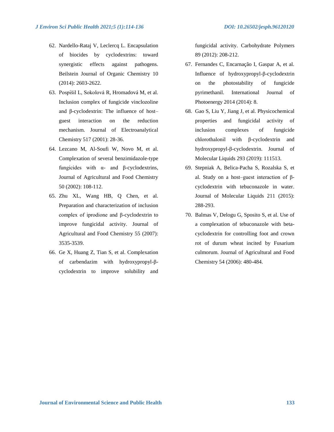- 62. Nardello-Rataj V, Leclercq L. Encapsulation of biocides by cyclodextrins: toward synergistic effects against pathogens. Beilstein Journal of Organic Chemistry 10 (2014): 2603-2622.
- 63. Pospı́šil L, Sokolová R, Hromadová M, et al. Inclusion complex of fungicide vinclozoline and β-cyclodextrin: The influence of host– guest interaction on the reduction mechanism. Journal of Electroanalytical Chemistry 517 (2001): 28-36.
- 64. Lezcano M, Al-Soufi W, Novo M, et al. Complexation of several benzimidazole-type fungicides with α- and β-cyclodextrins, Journal of Agricultural and Food Chemistry 50 (2002): 108-112.
- 65. Zhu XL, Wang HB, Q Chen, et al. Preparation and characterization of inclusion complex of iprodione and β-cyclodextrin to improve fungicidal activity. Journal of Agricultural and Food Chemistry 55 (2007): 3535-3539.
- 66. Ge X, Huang Z, Tian S, et al. Complexation of carbendazim with hydroxypropyl-βcyclodextrin to improve solubility and

fungicidal activity. Carbohydrate Polymers 89 (2012): 208-212.

- 67. Fernandes C, Encarnação I, Gaspar A, et al. Influence of hydroxypropyl-β-cyclodextrin on the photostability of fungicide pyrimethanil. International Journal of Photoenergy 2014 (2014): 8.
- 68. Gao S, Liu Y, Jiang J, et al. Physicochemical properties and fungicidal activity of inclusion complexes of fungicide chlorothalonil with β-cyclodextrin and hydroxypropyl-β-cyclodextrin. Journal of Molecular Liquids 293 (2019): 111513.
- 69. Stepniak A, Belica-Pacha S, Rozalska S, et al. Study on a host–guest interaction of βcyclodextrin with tebuconazole in water. Journal of Molecular Liquids 211 (2015): 288-293.
- 70. Balmas V, Delogu G, Sposito S, et al. Use of a complexation of tebuconazole with betacyclodextrin for controlling foot and crown rot of durum wheat incited by Fusarium culmorum. Journal of Agricultural and Food Chemistry 54 (2006): 480-484.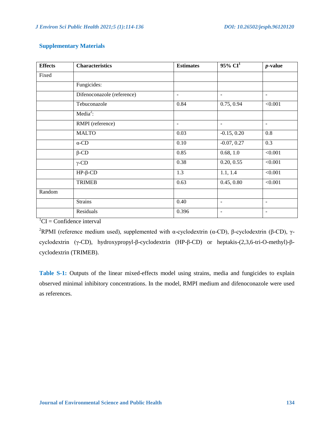## **Supplementary Materials**

| <b>Effects</b> | <b>Characteristics</b>     | <b>Estimates</b>         | $95\%$ CI <sup>1</sup>       | $p$ -value               |
|----------------|----------------------------|--------------------------|------------------------------|--------------------------|
| Fixed          |                            |                          |                              |                          |
|                | Fungicides:                |                          |                              |                          |
|                | Difenoconazole (reference) | $\overline{\phantom{a}}$ | $\overline{\phantom{a}}$     | $\overline{\phantom{a}}$ |
|                | Tebuconazole               | 0.84                     | 0.75, 0.94                   | < 0.001                  |
|                | Media <sup>2</sup> :       |                          |                              |                          |
|                | RMPI (reference)           | $\overline{\phantom{a}}$ | $\overline{\phantom{a}}$     | $\overline{\phantom{a}}$ |
|                | <b>MALTO</b>               | 0.03                     | $-0.15, 0.20$                | 0.8                      |
|                | $\alpha$ -CD               | 0.10                     | $-0.07, 0.27$                | 0.3                      |
|                | $\beta$ -CD                | 0.85                     | 0.68, 1.0                    | < 0.001                  |
|                | $\gamma$ -CD               | 0.38                     | 0.20, 0.55                   | < 0.001                  |
|                | $HP$ - $\beta$ -CD         | 1.3                      | 1.1, 1.4                     | < 0.001                  |
|                | <b>TRIMEB</b>              | 0.63                     | 0.45, 0.80                   | < 0.001                  |
| Random         |                            |                          |                              |                          |
|                | <b>Strains</b>             | 0.40                     | $\overline{\phantom{a}}$     | $\overline{\phantom{a}}$ |
|                | Residuals                  | 0.396                    | $\qquad \qquad \blacksquare$ | $\overline{\phantom{a}}$ |

 ${}^{1}CI =$  Confidence interval

<sup>2</sup>RPMI (reference medium used), supplemented with α-cyclodextrin (α-CD), β-cyclodextrin (β-CD), γcyclodextrin (γ-CD), hydroxypropyl-β-cyclodextrin (HP-β-CD) or heptakis-(2,3,6-tri-O-methyl)-βcyclodextrin (TRIMEB).

**Table S-1:** Outputs of the linear mixed-effects model using strains, media and fungicides to explain observed minimal inhibitory concentrations. In the model, RMPI medium and difenoconazole were used as references.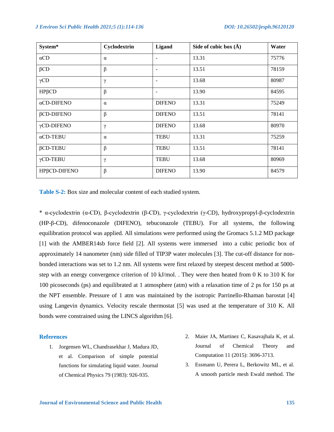| System*            | Cyclodextrin | Ligand                   | Side of cubic box $(\AA)$ | Water |
|--------------------|--------------|--------------------------|---------------------------|-------|
| $\alpha$ CD        | $\alpha$     | $\overline{\phantom{a}}$ | 13.31                     | 75776 |
| $\beta$ CD         | $\beta$      | $\overline{\phantom{a}}$ | 13.51                     | 78159 |
| $\gamma$ CD        | γ            | $\overline{\phantom{a}}$ | 13.68                     | 80987 |
| $HP\beta CD$       | β            | $\overline{\phantom{a}}$ | 13.90                     | 84595 |
| $\alpha$ CD-DIFENO | $\alpha$     | <b>DIFENO</b>            | 13.31                     | 75249 |
| $\beta$ CD-DIFENO  | $\beta$      | <b>DIFENO</b>            | 13.51                     | 78141 |
| γCD-DIFENO         | γ            | <b>DIFENO</b>            | 13.68                     | 80970 |
| $\alpha$ CD-TEBU   | $\alpha$     | <b>TEBU</b>              | 13.31                     | 75259 |
| $\beta$ CD-TEBU    | $\beta$      | <b>TEBU</b>              | 13.51                     | 78141 |
| $\gamma$ CD-TEBU   | $\gamma$     | <b>TEBU</b>              | 13.68                     | 80969 |
| HPβCD-DIFENO       | $\beta$      | <b>DIFENO</b>            | 13.90                     | 84579 |

**Table S-2:** Box size and molecular content of each studied system.

\* α-cyclodextrin (α-CD), β-cyclodextrin (β-CD), γ-cyclodextrin (γ-CD), hydroxypropyl-β-cyclodextrin (HP-β-CD), difenoconazole (DIFENO), tebuconazole (TEBU). For all systems, the following equilibration protocol was applied. All simulations were performed using the Gromacs 5.1.2 MD package [1] with the AMBER14sb force field [2]. All systems were immersed into a cubic periodic box of approximately 14 nanometer (nm) side filled of TIP3P water molecules [3]. The cut-off distance for nonbonded interactions was set to 1.2 nm. All systems were first relaxed by steepest descent method at 5000 step with an energy convergence criterion of 10 kJ/mol. . They were then heated from 0 K to 310 K for 100 picoseconds (ps) and equilibrated at 1 atmosphere (atm) with a relaxation time of 2 ps for 150 ps at the NPT ensemble. Pressure of 1 atm was maintained by the isotropic Parrinello-Rhaman barostat [4] using Langevin dynamics. Velocity rescale thermostat [5] was used at the temperature of 310 K. All bonds were constrained using the LINCS algorithm [6].

#### **References**

- 1. Jorgensen WL, Chandrasekhar J, Madura JD, et al. Comparison of simple potential functions for simulating liquid water. Journal of Chemical Physics 79 (1983): 926-935.
- 2. Maier JA, Martinez C, Kasavajhala K, et al. Journal of Chemical Theory and Computation 11 (2015): 3696-3713.
- 3. Essmann U, Perera L, Berkowitz ML, et al. A smooth particle mesh Ewald method. The